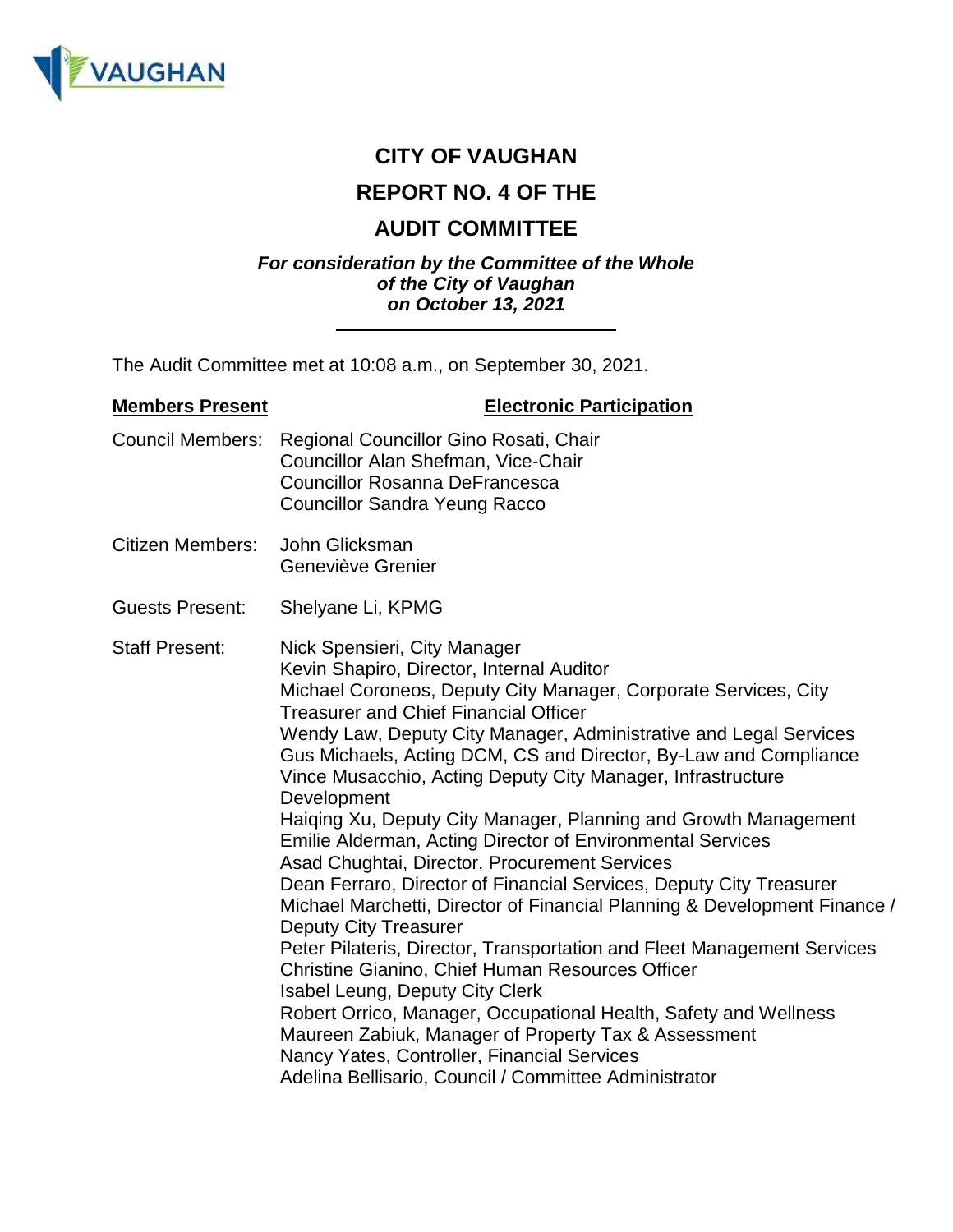

# **CITY OF VAUGHAN**

# **REPORT NO. 4 OF THE**

# **AUDIT COMMITTEE**

#### *For consideration by the Committee of the Whole of the City of Vaughan on October 13, 2021*

The Audit Committee met at 10:08 a.m., on September 30, 2021.

## **Members Present Electronic Participation** Council Members: Regional Councillor Gino Rosati, Chair Councillor Alan Shefman, Vice-Chair Councillor Rosanna DeFrancesca Councillor Sandra Yeung Racco Citizen Members: John Glicksman Geneviève Grenier Guests Present: Shelyane Li, KPMG Staff Present: Nick Spensieri, City Manager Kevin Shapiro, Director, Internal Auditor Michael Coroneos, Deputy City Manager, Corporate Services, City Treasurer and Chief Financial Officer Wendy Law, Deputy City Manager, Administrative and Legal Services Gus Michaels, Acting DCM, CS and Director, By-Law and Compliance Vince Musacchio, Acting Deputy City Manager, Infrastructure Development Haiqing Xu, Deputy City Manager, Planning and Growth Management Emilie Alderman, Acting Director of Environmental Services Asad Chughtai, Director, Procurement Services Dean Ferraro, Director of Financial Services, Deputy City Treasurer Michael Marchetti, Director of Financial Planning & Development Finance / Deputy City Treasurer Peter Pilateris, Director, Transportation and Fleet Management Services Christine Gianino, Chief Human Resources Officer Isabel Leung, Deputy City Clerk Robert Orrico, Manager, Occupational Health, Safety and Wellness Maureen Zabiuk, Manager of Property Tax & Assessment Nancy Yates, Controller, Financial Services Adelina Bellisario, Council / Committee Administrator